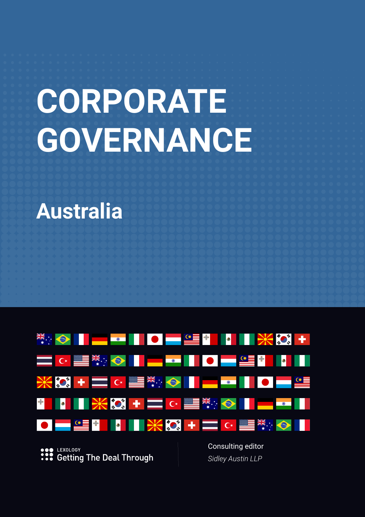# **CORPORATE GOVERNANCE**

# **Australia**



**C** LEXOLOGY **:::** Getting The Deal Through Consulting editor *Sidley Austin LLP*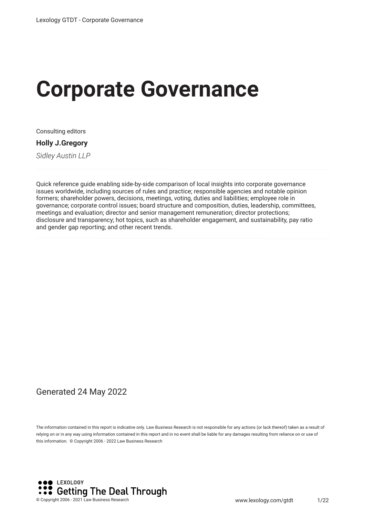# **Corporate Governance**

Consulting editors

**Holly J.Gregory**

*Sidley Austin LLP*

Quick reference guide enabling side-by-side comparison of local insights into corporate governance issues worldwide, including sources of rules and practice; responsible agencies and notable opinion formers; shareholder powers, decisions, meetings, voting, duties and liabilities; employee role in governance; corporate control issues; board structure and composition, duties, leadership, committees, meetings and evaluation; director and senior management remuneration; director protections; disclosure and transparency; hot topics, such as shareholder engagement, and sustainability, pay ratio and gender gap reporting; and other recent trends.

#### Generated 24 May 2022

The information contained in this report is indicative only. Law Business Research is not responsible for any actions (or lack thereof) taken as a result of relying on or in any way using information contained in this report and in no event shall be liable for any damages resulting from reliance on or use of this information. © Copyright 2006 - 2022 Law Business Research

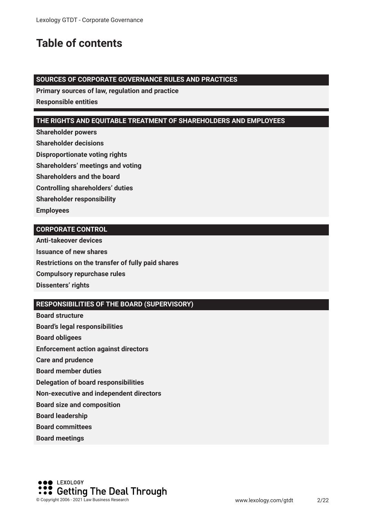## **Table of contents**

#### **SOURCES OF CORPORATE GOVERNANCE RULES AND PRACTICES**

**Primary sources of law, regulation and practice**

**Responsible entities**

#### **THE RIGHTS AND EQUITABLE TREATMENT OF SHAREHOLDERS AND EMPLOYEES**

**Shareholder powers**

**Shareholder decisions**

**Disproportionate voting rights**

**Shareholders' meetings and voting**

**Shareholders and the board**

**Controlling shareholders' duties**

**Shareholder responsibility**

**Employees**

#### **CORPORATE CONTROL**

**Anti-takeover devices Issuance of new shares Restrictions on the transfer of fully paid shares Compulsory repurchase rules Dissenters' rights**

#### **RESPONSIBILITIES OF THE BOARD (SUPERVISORY)**

**Board structure Board's legal responsibilities Board obligees Enforcement action against directors Care and prudence Board member duties Delegation of board responsibilities Non-executive and independent directors Board size and composition Board leadership Board committees**

**Board meetings**

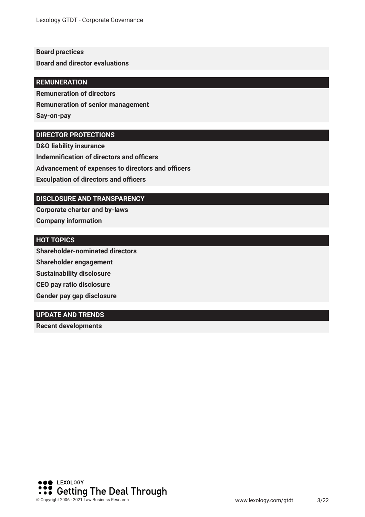#### **Board practices**

**Board and director evaluations**

#### **REMUNERATION**

**Remuneration of directors**

**Remuneration of senior management**

**Say-on-pay**

#### **DIRECTOR PROTECTIONS**

**D&O liability insurance Indemnification of directors and officers Advancement of expenses to directors and officers Exculpation of directors and officers** 

#### **DISCLOSURE AND TRANSPARENCY**

**Corporate charter and by-laws Company information**

#### **HOT TOPICS**

**Shareholder-nominated directors Shareholder engagement Sustainability disclosure CEO pay ratio disclosure Gender pay gap disclosure**

#### **UPDATE AND TRENDS**

**Recent developments** 

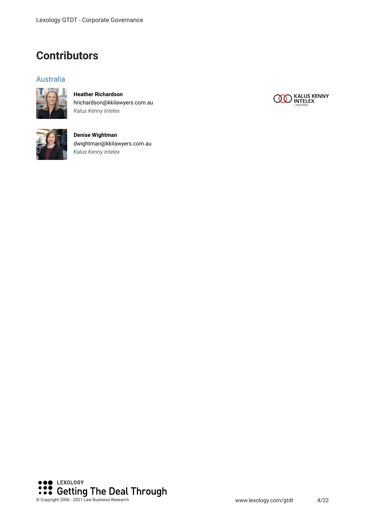### **Contributors**

#### Australia



**Heather Richardson** hrichardson@kkilawyers.com.au *Kalus Kenny Intelex*



**Denise Wightman** dwightman@kkilawyers.com.au *Kalus Kenny Intelex*



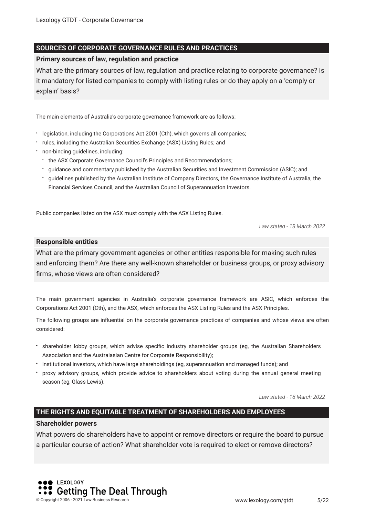#### **SOURCES OF CORPORATE GOVERNANCE RULES AND PRACTICES**

#### **Primary sources of law, regulation and practice**

What are the primary sources of law, regulation and practice relating to corporate governance? Is it mandatory for listed companies to comply with listing rules or do they apply on a 'comply or explain' basis?

The main elements of Australia's corporate governance framework are as follows:

- legislation, including the Corporations Act 2001 (Cth), which governs all companies;
- rules, including the Australian Securities Exchange (ASX) Listing Rules; and
- non-binding guidelines, including:
	- the ASX Corporate Governance Council's Principles and Recommendations;
	- guidance and commentary published by the Australian Securities and Investment Commission (ASIC); and
	- guidelines published by the Australian Institute of Company Directors, the Governance Institute of Australia, the Financial Services Council, and the Australian Council of Superannuation Investors.

Public companies listed on the ASX must comply with the ASX Listing Rules.

*Law stated - 18 March 2022*

#### **Responsible entities**

What are the primary government agencies or other entities responsible for making such rules and enforcing them? Are there any well-known shareholder or business groups, or proxy advisory frms, whose views are often considered?

The main government agencies in Australia's corporate governance framework are ASIC, which enforces the Corporations Act 2001 (Cth), and the ASX, which enforces the ASX Listing Rules and the ASX Principles.

The following groups are infuential on the corporate governance practices of companies and whose views are often considered:

- shareholder lobby groups, which advise specifc industry shareholder groups (eg, the Australian Shareholders Association and the Australasian Centre for Corporate Responsibility);
- institutional investors, which have large shareholdings (eg, superannuation and managed funds); and
- proxy advisory groups, which provide advice to shareholders about voting during the annual general meeting season (eg, Glass Lewis).

*Law stated - 18 March 2022*

#### **THE RIGHTS AND EQUITABLE TREATMENT OF SHAREHOLDERS AND EMPLOYEES**

#### **Shareholder powers**

What powers do shareholders have to appoint or remove directors or require the board to pursue a particular course of action? What shareholder vote is required to elect or remove directors?

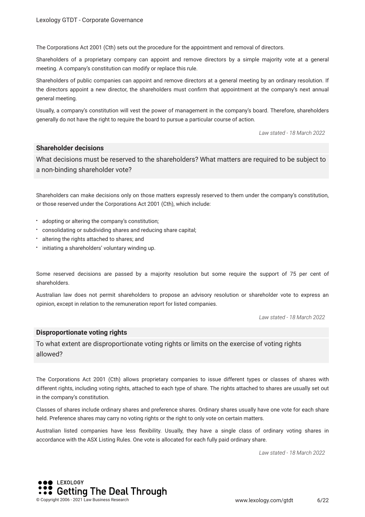The Corporations Act 2001 (Cth) sets out the procedure for the appointment and removal of directors.

Shareholders of a proprietary company can appoint and remove directors by a simple majority vote at a general meeting. A company's constitution can modify or replace this rule.

Shareholders of public companies can appoint and remove directors at a general meeting by an ordinary resolution. If the directors appoint a new director, the shareholders must confrm that appointment at the company's next annual general meeting.

Usually, a company's constitution will vest the power of management in the company's board. Therefore, shareholders generally do not have the right to require the board to pursue a particular course of action.

*Law stated - 18 March 2022*

#### **Shareholder decisions**

What decisions must be reserved to the shareholders? What matters are required to be subject to a non-binding shareholder vote?

Shareholders can make decisions only on those matters expressly reserved to them under the company's constitution, or those reserved under the Corporations Act 2001 (Cth), which include:

- adopting or altering the company's constitution;
- consolidating or subdividing shares and reducing share capital;
- altering the rights attached to shares; and
- $\cdot$  initiating a shareholders' voluntary winding up.

Some reserved decisions are passed by a majority resolution but some require the support of 75 per cent of shareholders.

Australian law does not permit shareholders to propose an advisory resolution or shareholder vote to express an opinion, except in relation to the remuneration report for listed companies.

*Law stated - 18 March 2022*

#### **Disproportionate voting rights**

To what extent are disproportionate voting rights or limits on the exercise of voting rights allowed?

The Corporations Act 2001 (Cth) allows proprietary companies to issue different types or classes of shares with different rights, including voting rights, attached to each type of share. The rights attached to shares are usually set out in the company's constitution.

Classes of shares include ordinary shares and preference shares. Ordinary shares usually have one vote for each share held. Preference shares may carry no voting rights or the right to only vote on certain matters.

Australian listed companies have less fexibility. Usually, they have a single class of ordinary voting shares in accordance with the ASX Listing Rules. One vote is allocated for each fully paid ordinary share.

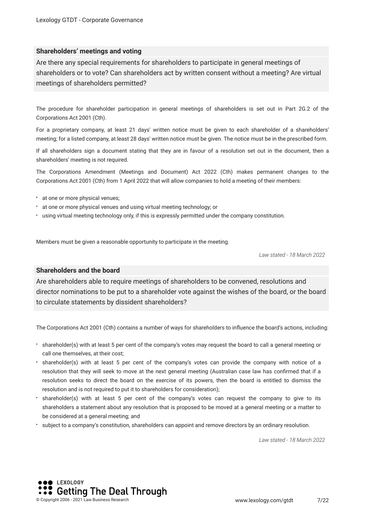#### **Shareholders' meetings and voting**

Are there any special requirements for shareholders to participate in general meetings of shareholders or to vote? Can shareholders act by written consent without a meeting? Are virtual meetings of shareholders permitted?

The procedure for shareholder participation in general meetings of shareholders is set out in Part 2G.2 of the Corporations Act 2001 (Cth).

For a proprietary company, at least 21 days' written notice must be given to each shareholder of a shareholders' meeting; for a listed company, at least 28 days' written notice must be given. The notice must be in the prescribed form.

If all shareholders sign a document stating that they are in favour of a resolution set out in the document, then a shareholders' meeting is not required.

The Corporations Amendment (Meetings and Document) Act 2022 (Cth) makes permanent changes to the Corporations Act 2001 (Cth) from 1 April 2022 that will allow companies to hold a meeting of their members:

- at one or more physical venues;
- at one or more physical venues and using virtual meeting technology; or
- using virtual meeting technology only, if this is expressly permitted under the company constitution.

Members must be given a reasonable opportunity to participate in the meeting.

*Law stated - 18 March 2022*

#### **Shareholders and the board**

Are shareholders able to require meetings of shareholders to be convened, resolutions and director nominations to be put to a shareholder vote against the wishes of the board, or the board to circulate statements by dissident shareholders?

The Corporations Act 2001 (Cth) contains a number of ways for shareholders to infuence the board's actions, including:

- shareholder(s) with at least 5 per cent of the company's votes may request the board to call a general meeting or call one themselves, at their cost;
- shareholder(s) with at least 5 per cent of the company's votes can provide the company with notice of a resolution that they will seek to move at the next general meeting (Australian case law has confrmed that if a resolution seeks to direct the board on the exercise of its powers, then the board is entitled to dismiss the resolution and is not required to put it to shareholders for consideration);
- shareholder(s) with at least 5 per cent of the company's votes can request the company to give to its shareholders a statement about any resolution that is proposed to be moved at a general meeting or a matter to be considered at a general meeting; and
- subject to a company's constitution, shareholders can appoint and remove directors by an ordinary resolution.

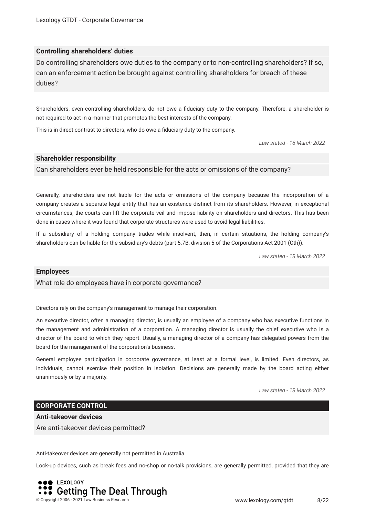#### **Controlling shareholders' duties**

Do controlling shareholders owe duties to the company or to non-controlling shareholders? If so, can an enforcement action be brought against controlling shareholders for breach of these duties?

Shareholders, even controlling shareholders, do not owe a fduciary duty to the company. Therefore, a shareholder is not required to act in a manner that promotes the best interests of the company.

This is in direct contrast to directors, who do owe a fduciary duty to the company.

*Law stated - 18 March 2022*

#### **Shareholder responsibility**

Can shareholders ever be held responsible for the acts or omissions of the company?

Generally, shareholders are not liable for the acts or omissions of the company because the incorporation of a company creates a separate legal entity that has an existence distinct from its shareholders. However, in exceptional circumstances, the courts can lift the corporate veil and impose liability on shareholders and directors. This has been done in cases where it was found that corporate structures were used to avoid legal liabilities.

If a subsidiary of a holding company trades while insolvent, then, in certain situations, the holding company's shareholders can be liable for the subsidiary's debts (part 5.7B, division 5 of the Corporations Act 2001 (Cth)).

*Law stated - 18 March 2022*

#### **Employees**

What role do employees have in corporate governance?

Directors rely on the company's management to manage their corporation.

An executive director, often a managing director, is usually an employee of a company who has executive functions in the management and administration of a corporation. A managing director is usually the chief executive who is a director of the board to which they report. Usually, a managing director of a company has delegated powers from the board for the management of the corporation's business.

General employee participation in corporate governance, at least at a formal level, is limited. Even directors, as individuals, cannot exercise their position in isolation. Decisions are generally made by the board acting either unanimously or by a majority.

*Law stated - 18 March 2022*

#### **CORPORATE CONTROL**

**Anti-takeover devices** Are anti-takeover devices permitted?

Anti-takeover devices are generally not permitted in Australia.

Lock-up devices, such as break fees and no-shop or no-talk provisions, are generally permitted, provided that they are

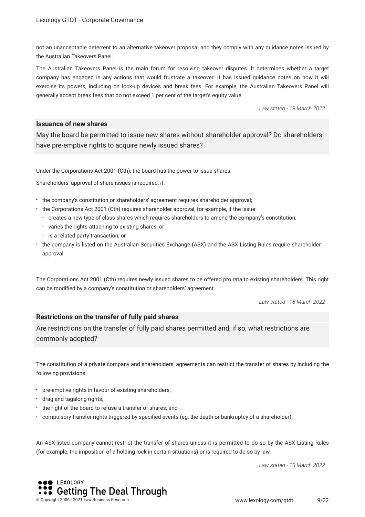not an unacceptable deterrent to an alternative takeover proposal and they comply with any guidance notes issued by the Australian Takeovers Panel.

The Australian Takeovers Panel is the main forum for resolving takeover disputes. It determines whether a target company has engaged in any actions that would frustrate a takeover. It has issued guidance notes on how it will exercise its powers, including on lock-up devices and break fees. For example, the Australian Takeovers Panel will generally accept break fees that do not exceed 1 per cent of the target's equity value.

*Law stated - 18 March 2022*

#### **Issuance of new shares**

May the board be permitted to issue new shares without shareholder approval? Do shareholders have pre-emptive rights to acquire newly issued shares?

Under the Corporations Act 2001 (Cth), the board has the power to issue shares.

Shareholders' approval of share issues is required, if:

- the company's constitution or shareholders' agreement requires shareholder approval;
- the Corporations Act 2001 (Cth) requires shareholder approval, for example, if the issue:
	- creates a new type of class shares which requires shareholders to amend the company's constitution;
	- varies the rights attaching to existing shares; or
	- **:** is a related party transaction; or
- the company is listed on the Australian Securities Exchange (ASX) and the ASX Listing Rules require shareholder approval.

The Corporations Act 2001 (Cth) requires newly issued shares to be offered pro rata to existing shareholders. This right can be modifed by a company's constitution or shareholders' agreement.

*Law stated - 18 March 2022*

#### **Restrictions on the transfer of fully paid shares**

Are restrictions on the transfer of fully paid shares permitted and, if so, what restrictions are commonly adopted?

The constitution of a private company and shareholders' agreements can restrict the transfer of shares by including the following provisions:

- pre-emptive rights in favour of existing shareholders;
- drag and tagalong rights;
- the right of the board to refuse a transfer of shares; and
- compulsory transfer rights triggered by specifed events (eg, the death or bankruptcy of a shareholder).

An ASX-listed company cannot restrict the transfer of shares unless it is permitted to do so by the ASX Listing Rules (for example, the imposition of a holding lock in certain situations) or is required to do so by law.

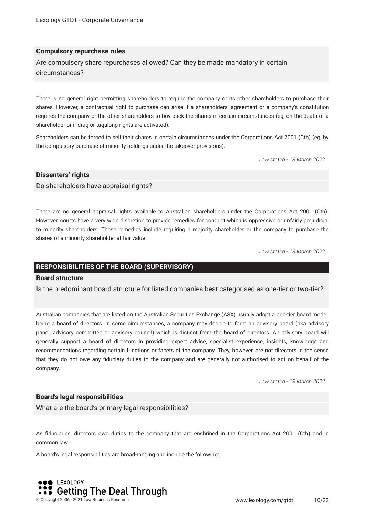#### **Compulsory repurchase rules**

Are compulsory share repurchases allowed? Can they be made mandatory in certain circumstances?

There is no general right permitting shareholders to require the company or its other shareholders to purchase their shares. However, a contractual right to purchase can arise if a shareholders' agreement or a company's constitution requires the company or the other shareholders to buy back the shares in certain circumstances (eg, on the death of a shareholder or if drag or tagalong rights are activated).

Shareholders can be forced to sell their shares in certain circumstances under the Corporations Act 2001 (Cth) (eg, by the compulsory purchase of minority holdings under the takeover provisions).

*Law stated - 18 March 2022*

#### **Dissenters' rights**

Do shareholders have appraisal rights?

There are no general appraisal rights available to Australian shareholders under the Corporations Act 2001 (Cth). However, courts have a very wide discretion to provide remedies for conduct which is oppressive or unfairly prejudicial to minority shareholders. These remedies include requiring a majority shareholder or the company to purchase the shares of a minority shareholder at fair value.

*Law stated - 18 March 2022*

#### **RESPONSIBILITIES OF THE BOARD (SUPERVISORY)**

#### **Board structure**

Is the predominant board structure for listed companies best categorised as one-tier or two-tier?

Australian companies that are listed on the Australian Securities Exchange (ASX) usually adopt a one-tier board model, being a board of directors. In some circumstances, a company may decide to form an advisory board (aka advisory panel, advisory committee or advisory council) which is distinct from the board of directors. An advisory board will generally support a board of directors in providing expert advice, specialist experience, insights, knowledge and recommendations regarding certain functions or facets of the company. They, however, are not directors in the sense that they do not owe any fduciary duties to the company and are generally not authorised to act on behalf of the company.

*Law stated - 18 March 2022*

#### **Board's legal responsibilities**

What are the board's primary legal responsibilities?

As fduciaries, directors owe duties to the company that are enshrined in the Corporations Act 2001 (Cth) and in common law.

A board's legal responsibilities are broad-ranging and include the following:

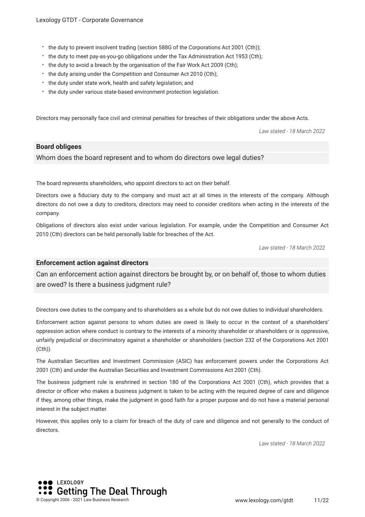- the duty to prevent insolvent trading (section 588G of the Corporations Act 2001 (Cth));
- the duty to meet pay-as-you-go obligations under the Tax Administration Act 1953 (Cth);
- the duty to avoid a breach by the organisation of the Fair Work Act 2009 (Cth);
- the duty arising under the Competition and Consumer Act 2010 (Cth);
- \* the duty under state work, health and safety legislation; and
- the duty under various state-based environment protection legislation.

Directors may personally face civil and criminal penalties for breaches of their obligations under the above Acts.

*Law stated - 18 March 2022*

#### **Board obligees**

#### Whom does the board represent and to whom do directors owe legal duties?

The board represents shareholders, who appoint directors to act on their behalf.

Directors owe a fduciary duty to the company and must act at all times in the interests of the company. Although directors do not owe a duty to creditors, directors may need to consider creditors when acting in the interests of the company.

Obligations of directors also exist under various legislation. For example, under the Competition and Consumer Act 2010 (Cth) directors can be held personally liable for breaches of the Act.

*Law stated - 18 March 2022*

#### **Enforcement action against directors**

Can an enforcement action against directors be brought by, or on behalf of, those to whom duties are owed? Is there a business judgment rule?

Directors owe duties to the company and to shareholders as a whole but do not owe duties to individual shareholders.

Enforcement action against persons to whom duties are owed is likely to occur in the context of a shareholders' oppression action where conduct is contrary to the interests of a minority shareholder or shareholders or is oppressive, unfairly prejudicial or discriminatory against a shareholder or shareholders (section 232 of the Corporations Act 2001 (Cth)).

The Australian Securities and Investment Commission (ASIC) has enforcement powers under the Corporations Act 2001 (Cth) and under the Australian Securities and Investment Commissions Act 2001 (Cth).

The business judgment rule is enshrined in section 180 of the Corporations Act 2001 (Cth), which provides that a director or officer who makes a business judgment is taken to be acting with the required degree of care and diligence if they, among other things, make the judgment in good faith for a proper purpose and do not have a material personal interest in the subject matter.

However, this applies only to a claim for breach of the duty of care and diligence and not generally to the conduct of directors

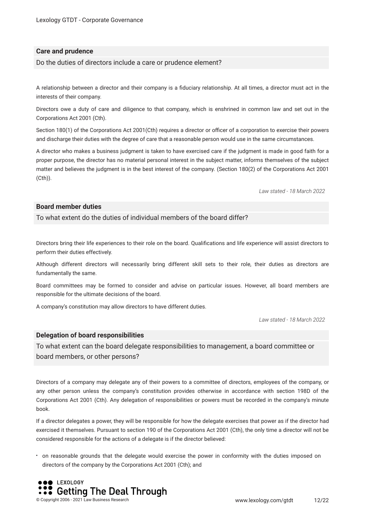#### **Care and prudence**

Do the duties of directors include a care or prudence element?

A relationship between a director and their company is a fduciary relationship. At all times, a director must act in the interests of their company.

Directors owe a duty of care and diligence to that company, which is enshrined in common law and set out in the Corporations Act 2001 (Cth).

Section 180(1) of the Corporations Act 2001(Cth) requires a director or officer of a corporation to exercise their powers and discharge their duties with the degree of care that a reasonable person would use in the same circumstances.

A director who makes a business judgment is taken to have exercised care if the judgment is made in good faith for a proper purpose, the director has no material personal interest in the subject matter, informs themselves of the subject matter and believes the judgment is in the best interest of the company. (Section 180(2) of the Corporations Act 2001 (Cth)).

*Law stated - 18 March 2022*

#### **Board member duties**

To what extent do the duties of individual members of the board differ?

Directors bring their life experiences to their role on the board. Qualifcations and life experience will assist directors to perform their duties effectively.

Although different directors will necessarily bring different skill sets to their role, their duties as directors are fundamentally the same.

Board committees may be formed to consider and advise on particular issues. However, all board members are responsible for the ultimate decisions of the board.

A company's constitution may allow directors to have different duties.

*Law stated - 18 March 2022*

#### **Delegation of board responsibilities**

To what extent can the board delegate responsibilities to management, a board committee or board members, or other persons?

Directors of a company may delegate any of their powers to a committee of directors, employees of the company, or any other person unless the company's constitution provides otherwise in accordance with section 198D of the Corporations Act 2001 (Cth). Any delegation of responsibilities or powers must be recorded in the company's minute book.

If a director delegates a power, they will be responsible for how the delegate exercises that power as if the director had exercised it themselves. Pursuant to section 190 of the Corporations Act 2001 (Cth), the only time a director will not be considered responsible for the actions of a delegate is if the director believed:

on reasonable grounds that the delegate would exercise the power in conformity with the duties imposed on directors of the company by the Corporations Act 2001 (Cth); and

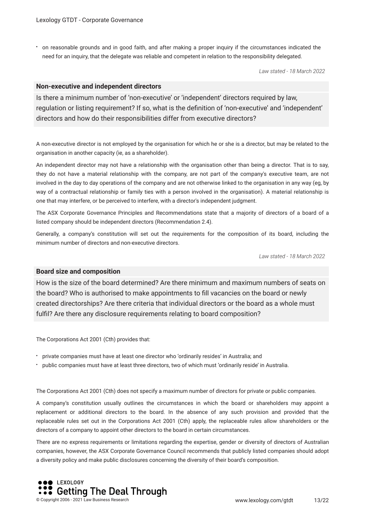on reasonable grounds and in good faith, and after making a proper inquiry if the circumstances indicated the need for an inquiry, that the delegate was reliable and competent in relation to the responsibility delegated.

*Law stated - 18 March 2022*

#### **Non-executive and independent directors**

Is there a minimum number of 'non-executive' or 'independent' directors required by law, regulation or listing requirement? If so, what is the defnition of 'non-executive' and 'independent' directors and how do their responsibilities differ from executive directors?

A non-executive director is not employed by the organisation for which he or she is a director, but may be related to the organisation in another capacity (ie, as a shareholder).

An independent director may not have a relationship with the organisation other than being a director. That is to say, they do not have a material relationship with the company, are not part of the company's executive team, are not involved in the day to day operations of the company and are not otherwise linked to the organisation in any way (eg, by way of a contractual relationship or family ties with a person involved in the organisation). A material relationship is one that may interfere, or be perceived to interfere, with a director's independent judgment.

The ASX Corporate Governance Principles and Recommendations state that a majority of directors of a board of a listed company should be independent directors (Recommendation 2.4).

Generally, a company's constitution will set out the requirements for the composition of its board, including the minimum number of directors and non-executive directors.

*Law stated - 18 March 2022*

#### **Board size and composition**

How is the size of the board determined? Are there minimum and maximum numbers of seats on the board? Who is authorised to make appointments to fll vacancies on the board or newly created directorships? Are there criteria that individual directors or the board as a whole must fulfl? Are there any disclosure requirements relating to board composition?

The Corporations Act 2001 (Cth) provides that:

- private companies must have at least one director who 'ordinarily resides' in Australia; and
- public companies must have at least three directors, two of which must 'ordinarily reside' in Australia.

The Corporations Act 2001 (Cth) does not specify a maximum number of directors for private or public companies.

A company's constitution usually outlines the circumstances in which the board or shareholders may appoint a replacement or additional directors to the board. In the absence of any such provision and provided that the replaceable rules set out in the Corporations Act 2001 (Cth) apply, the replaceable rules allow shareholders or the directors of a company to appoint other directors to the board in certain circumstances.

There are no express requirements or limitations regarding the expertise, gender or diversity of directors of Australian companies, however, the ASX Corporate Governance Council recommends that publicly listed companies should adopt a diversity policy and make public disclosures concerning the diversity of their board's composition.

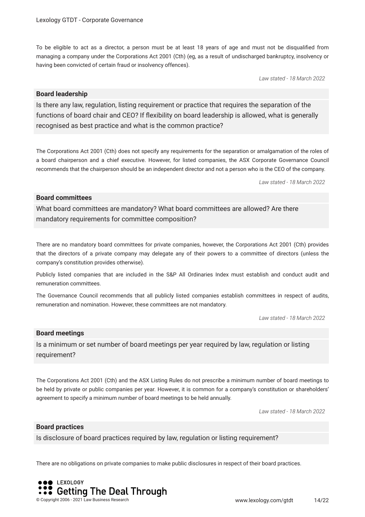To be eligible to act as a director, a person must be at least 18 years of age and must not be disqualifed from managing a company under the Corporations Act 2001 (Cth) (eg, as a result of undischarged bankruptcy, insolvency or having been convicted of certain fraud or insolvency offences).

*Law stated - 18 March 2022*

#### **Board leadership**

Is there any law, regulation, listing requirement or practice that requires the separation of the functions of board chair and CEO? If fexibility on board leadership is allowed, what is generally recognised as best practice and what is the common practice?

The Corporations Act 2001 (Cth) does not specify any requirements for the separation or amalgamation of the roles of a board chairperson and a chief executive. However, for listed companies, the ASX Corporate Governance Council recommends that the chairperson should be an independent director and not a person who is the CEO of the company.

*Law stated - 18 March 2022*

#### **Board committees**

What board committees are mandatory? What board committees are allowed? Are there mandatory requirements for committee composition?

There are no mandatory board committees for private companies, however, the Corporations Act 2001 (Cth) provides that the directors of a private company may delegate any of their powers to a committee of directors (unless the company's constitution provides otherwise).

Publicly listed companies that are included in the S&P All Ordinaries Index must establish and conduct audit and remuneration committees.

The Governance Council recommends that all publicly listed companies establish committees in respect of audits, remuneration and nomination. However, these committees are not mandatory.

*Law stated - 18 March 2022*

#### **Board meetings**

Is a minimum or set number of board meetings per year required by law, regulation or listing requirement?

The Corporations Act 2001 (Cth) and the ASX Listing Rules do not prescribe a minimum number of board meetings to be held by private or public companies per year. However, it is common for a company's constitution or shareholders' agreement to specify a minimum number of board meetings to be held annually.

*Law stated - 18 March 2022*

#### **Board practices**

Is disclosure of board practices required by law, regulation or listing requirement?

There are no obligations on private companies to make public disclosures in respect of their board practices.

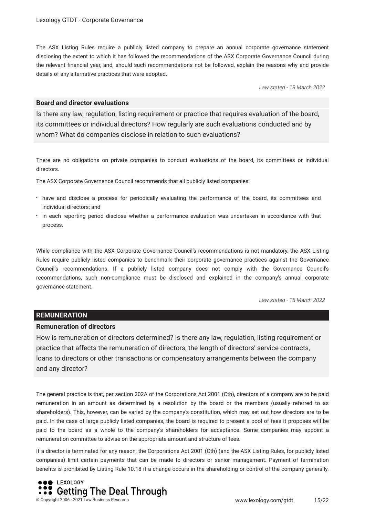The ASX Listing Rules require a publicly listed company to prepare an annual corporate governance statement disclosing the extent to which it has followed the recommendations of the ASX Corporate Governance Council during the relevant fnancial year, and, should such recommendations not be followed, explain the reasons why and provide details of any alternative practices that were adopted.

*Law stated - 18 March 2022*

#### **Board and director evaluations**

Is there any law, regulation, listing requirement or practice that requires evaluation of the board, its committees or individual directors? How regularly are such evaluations conducted and by whom? What do companies disclose in relation to such evaluations?

There are no obligations on private companies to conduct evaluations of the board, its committees or individual directors.

The ASX Corporate Governance Council recommends that all publicly listed companies:

- have and disclose a process for periodically evaluating the performance of the board, its committees and individual directors; and
- in each reporting period disclose whether a performance evaluation was undertaken in accordance with that process.

While compliance with the ASX Corporate Governance Council's recommendations is not mandatory, the ASX Listing Rules require publicly listed companies to benchmark their corporate governance practices against the Governance Council's recommendations. If a publicly listed company does not comply with the Governance Council's recommendations, such non-compliance must be disclosed and explained in the company's annual corporate governance statement.

*Law stated - 18 March 2022*

#### **REMUNERATION**

#### **Remuneration of directors**

How is remuneration of directors determined? Is there any law, regulation, listing requirement or practice that affects the remuneration of directors, the length of directors' service contracts, loans to directors or other transactions or compensatory arrangements between the company and any director?

The general practice is that, per section 202A of the Corporations Act 2001 (Cth), directors of a company are to be paid remuneration in an amount as determined by a resolution by the board or the members (usually referred to as shareholders). This, however, can be varied by the company's constitution, which may set out how directors are to be paid. In the case of large publicly listed companies, the board is required to present a pool of fees it proposes will be paid to the board as a whole to the company's shareholders for acceptance. Some companies may appoint a remuneration committee to advise on the appropriate amount and structure of fees.

If a director is terminated for any reason, the Corporations Act 2001 (Cth) (and the ASX Listing Rules, for publicly listed companies) limit certain payments that can be made to directors or senior management. Payment of termination benefts is prohibited by Listing Rule 10.18 if a change occurs in the shareholding or control of the company generally.

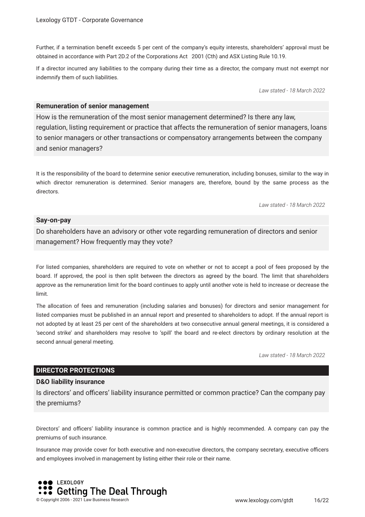Further, if a termination beneft exceeds 5 per cent of the company's equity interests, shareholders' approval must be obtained in accordance with Part 2D.2 of the Corporations Act 2001 (Cth) and ASX Listing Rule 10.19.

If a director incurred any liabilities to the company during their time as a director, the company must not exempt nor indemnify them of such liabilities.

*Law stated - 18 March 2022*

#### **Remuneration of senior management**

How is the remuneration of the most senior management determined? Is there any law, regulation, listing requirement or practice that affects the remuneration of senior managers, loans to senior managers or other transactions or compensatory arrangements between the company and senior managers?

It is the responsibility of the board to determine senior executive remuneration, including bonuses, similar to the way in which director remuneration is determined. Senior managers are, therefore, bound by the same process as the directors.

*Law stated - 18 March 2022*

#### **Say-on-pay**

Do shareholders have an advisory or other vote regarding remuneration of directors and senior management? How frequently may they vote?

For listed companies, shareholders are required to vote on whether or not to accept a pool of fees proposed by the board. If approved, the pool is then split between the directors as agreed by the board. The limit that shareholders approve as the remuneration limit for the board continues to apply until another vote is held to increase or decrease the limit.

The allocation of fees and remuneration (including salaries and bonuses) for directors and senior management for listed companies must be published in an annual report and presented to shareholders to adopt. If the annual report is not adopted by at least 25 per cent of the shareholders at two consecutive annual general meetings, it is considered a 'second strike' and shareholders may resolve to 'spill' the board and re-elect directors by ordinary resolution at the second annual general meeting.

*Law stated - 18 March 2022*

#### **DIRECTOR PROTECTIONS**

#### **D&O liability insurance**

Is directors' and officers' liability insurance permitted or common practice? Can the company pay the premiums?

Directors' and officers' liability insurance is common practice and is highly recommended. A company can pay the premiums of such insurance.

Insurance may provide cover for both executive and non-executive directors, the company secretary, executive officers and employees involved in management by listing either their role or their name.

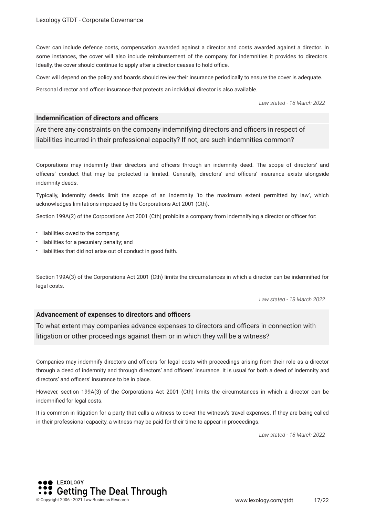Cover can include defence costs, compensation awarded against a director and costs awarded against a director. In some instances, the cover will also include reimbursement of the company for indemnities it provides to directors. Ideally, the cover should continue to apply after a director ceases to hold office.

Cover will depend on the policy and boards should review their insurance periodically to ensure the cover is adequate.

Personal director and officer insurance that protects an individual director is also available.

*Law stated - 18 March 2022*

#### **Indemnification of directors and officers**

Are there any constraints on the company indemnifying directors and officers in respect of liabilities incurred in their professional capacity? If not, are such indemnities common?

Corporations may indemnify their directors and officers through an indemnity deed. The scope of directors' and officers' conduct that may be protected is limited. Generally, directors' and officers' insurance exists alongside indemnity deeds.

Typically, indemnity deeds limit the scope of an indemnity 'to the maximum extent permitted by law', which acknowledges limitations imposed by the Corporations Act 2001 (Cth).

Section 199A(2) of the Corporations Act 2001 (Cth) prohibits a company from indemnifying a director or officer for:

- liabilities owed to the company;
- liabilities for a pecuniary penalty; and
- liabilities that did not arise out of conduct in good faith.

Section 199A(3) of the Corporations Act 2001 (Cth) limits the circumstances in which a director can be indemnifed for legal costs.

*Law stated - 18 March 2022*

#### **Advancement of expenses to directors and officers**

To what extent may companies advance expenses to directors and officers in connection with litigation or other proceedings against them or in which they will be a witness?

Companies may indemnify directors and officers for legal costs with proceedings arising from their role as a director through a deed of indemnity and through directors' and officers' insurance. It is usual for both a deed of indemnity and directors' and officers' insurance to be in place.

However, section 199A(3) of the Corporations Act 2001 (Cth) limits the circumstances in which a director can be indemnifed for legal costs.

It is common in litigation for a party that calls a witness to cover the witness's travel expenses. If they are being called in their professional capacity, a witness may be paid for their time to appear in proceedings.

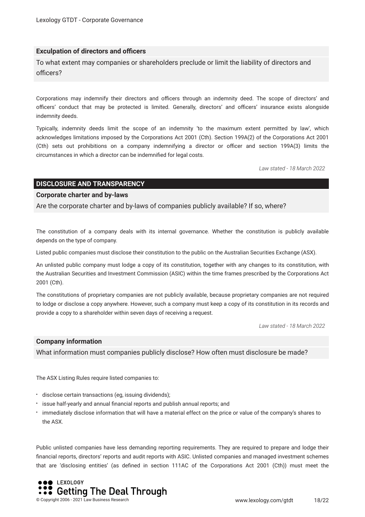#### **Exculpation of directors and officers**

To what extent may companies or shareholders preclude or limit the liability of directors and officers?

Corporations may indemnify their directors and officers through an indemnity deed. The scope of directors' and officers' conduct that may be protected is limited. Generally, directors' and officers' insurance exists alongside indemnity deeds.

Typically, indemnity deeds limit the scope of an indemnity 'to the maximum extent permitted by law', which acknowledges limitations imposed by the Corporations Act 2001 (Cth). Section 199A(2) of the Corporations Act 2001 (Cth) sets out prohibitions on a company indemnifying a director or officer and section 199A(3) limits the circumstances in which a director can be indemnifed for legal costs.

*Law stated - 18 March 2022*

#### **DISCLOSURE AND TRANSPARENCY**

#### **Corporate charter and by-laws**

Are the corporate charter and by-laws of companies publicly available? If so, where?

The constitution of a company deals with its internal governance. Whether the constitution is publicly available depends on the type of company.

Listed public companies must disclose their constitution to the public on the Australian Securities Exchange (ASX).

An unlisted public company must lodge a copy of its constitution, together with any changes to its constitution, with the Australian Securities and Investment Commission (ASIC) within the time frames prescribed by the Corporations Act 2001 (Cth).

The constitutions of proprietary companies are not publicly available, because proprietary companies are not required to lodge or disclose a copy anywhere. However, such a company must keep a copy of its constitution in its records and provide a copy to a shareholder within seven days of receiving a request.

*Law stated - 18 March 2022*

#### **Company information**

What information must companies publicly disclose? How often must disclosure be made?

The ASX Listing Rules require listed companies to:

- disclose certain transactions (eg, issuing dividends);
- issue half-yearly and annual fnancial reports and publish annual reports; and
- immediately disclose information that will have a material effect on the price or value of the company's shares to the ASX.

Public unlisted companies have less demanding reporting requirements. They are required to prepare and lodge their fnancial reports, directors' reports and audit reports with ASIC. Unlisted companies and managed investment schemes that are 'disclosing entities' (as defned in section 111AC of the Corporations Act 2001 (Cth)) must meet the

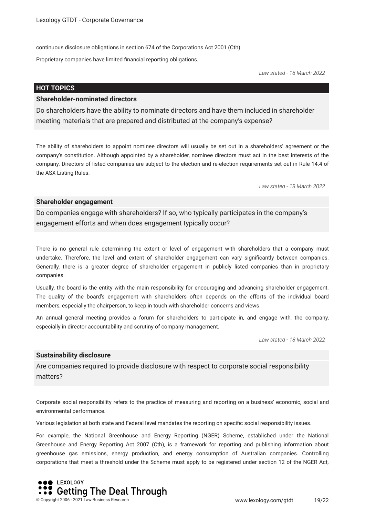continuous disclosure obligations in section 674 of the Corporations Act 2001 (Cth).

Proprietary companies have limited fnancial reporting obligations.

*Law stated - 18 March 2022*

#### **HOT TOPICS**

#### **Shareholder-nominated directors**

Do shareholders have the ability to nominate directors and have them included in shareholder meeting materials that are prepared and distributed at the company's expense?

The ability of shareholders to appoint nominee directors will usually be set out in a shareholders' agreement or the company's constitution. Although appointed by a shareholder, nominee directors must act in the best interests of the company. Directors of listed companies are subject to the election and re-election requirements set out in Rule 14.4 of the ASX Listing Rules.

*Law stated - 18 March 2022*

#### **Shareholder engagement**

Do companies engage with shareholders? If so, who typically participates in the company's engagement efforts and when does engagement typically occur?

There is no general rule determining the extent or level of engagement with shareholders that a company must undertake. Therefore, the level and extent of shareholder engagement can vary signifcantly between companies. Generally, there is a greater degree of shareholder engagement in publicly listed companies than in proprietary companies.

Usually, the board is the entity with the main responsibility for encouraging and advancing shareholder engagement. The quality of the board's engagement with shareholders often depends on the efforts of the individual board members, especially the chairperson, to keep in touch with shareholder concerns and views.

An annual general meeting provides a forum for shareholders to participate in, and engage with, the company, especially in director accountability and scrutiny of company management.

*Law stated - 18 March 2022*

#### **Sustainability disclosure**

Are companies required to provide disclosure with respect to corporate social responsibility matters?

Corporate social responsibility refers to the practice of measuring and reporting on a business' economic, social and environmental performance.

Various legislation at both state and Federal level mandates the reporting on specifc social responsibility issues.

For example, the National Greenhouse and Energy Reporting (NGER) Scheme, established under the National Greenhouse and Energy Reporting Act 2007 (Cth), is a framework for reporting and publishing information about greenhouse gas emissions, energy production, and energy consumption of Australian companies. Controlling corporations that meet a threshold under the Scheme must apply to be registered under section 12 of the NGER Act,

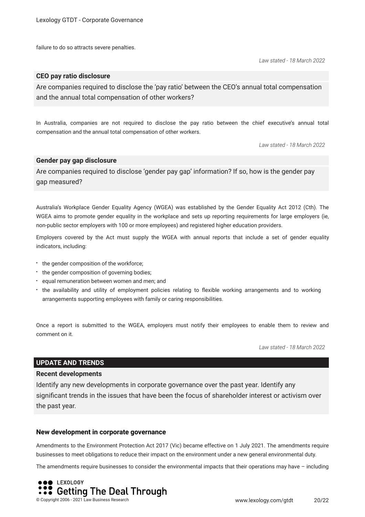failure to do so attracts severe penalties.

*Law stated - 18 March 2022*

#### **CEO pay ratio disclosure**

Are companies required to disclose the 'pay ratio' between the CEO's annual total compensation and the annual total compensation of other workers?

In Australia, companies are not required to disclose the pay ratio between the chief executive's annual total compensation and the annual total compensation of other workers.

*Law stated - 18 March 2022*

#### **Gender pay gap disclosure**

Are companies required to disclose 'gender pay gap' information? If so, how is the gender pay gap measured?

Australia's Workplace Gender Equality Agency (WGEA) was established by the Gender Equality Act 2012 (Cth). The WGEA aims to promote gender equality in the workplace and sets up reporting requirements for large employers (ie, non-public sector employers with 100 or more employees) and registered higher education providers.

Employers covered by the Act must supply the WGEA with annual reports that include a set of gender equality indicators, including:

- the gender composition of the workforce;
- the gender composition of governing bodies;
- equal remuneration between women and men; and
- the availability and utility of employment policies relating to fexible working arrangements and to working arrangements supporting employees with family or caring responsibilities.

Once a report is submitted to the WGEA, employers must notify their employees to enable them to review and comment on it.

*Law stated - 18 March 2022*

#### **UPDATE AND TRENDS**

#### **Recent developments**

Identify any new developments in corporate governance over the past year. Identify any signifcant trends in the issues that have been the focus of shareholder interest or activism over the past year.

#### **New development in corporate governance**

Amendments to the Environment Protection Act 2017 (Vic) became effective on 1 July 2021. The amendments require businesses to meet obligations to reduce their impact on the environment under a new general environmental duty.

The amendments require businesses to consider the environmental impacts that their operations may have – including

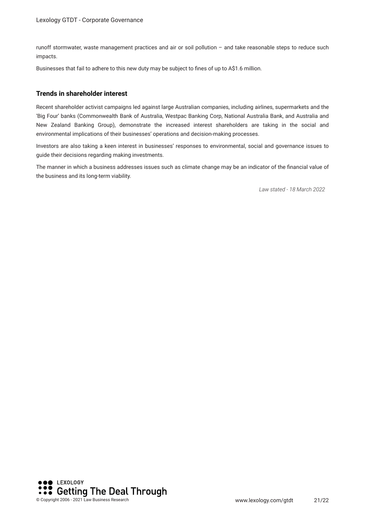runoff stormwater, waste management practices and air or soil pollution – and take reasonable steps to reduce such impacts.

Businesses that fail to adhere to this new duty may be subject to fnes of up to A\$1.6 million.

#### **Trends in shareholder interest**

Recent shareholder activist campaigns led against large Australian companies, including airlines, supermarkets and the 'Big Four' banks (Commonwealth Bank of Australia, Westpac Banking Corp, National Australia Bank, and Australia and New Zealand Banking Group), demonstrate the increased interest shareholders are taking in the social and environmental implications of their businesses' operations and decision-making processes.

Investors are also taking a keen interest in businesses' responses to environmental, social and governance issues to guide their decisions regarding making investments.

The manner in which a business addresses issues such as climate change may be an indicator of the fnancial value of the business and its long-term viability.